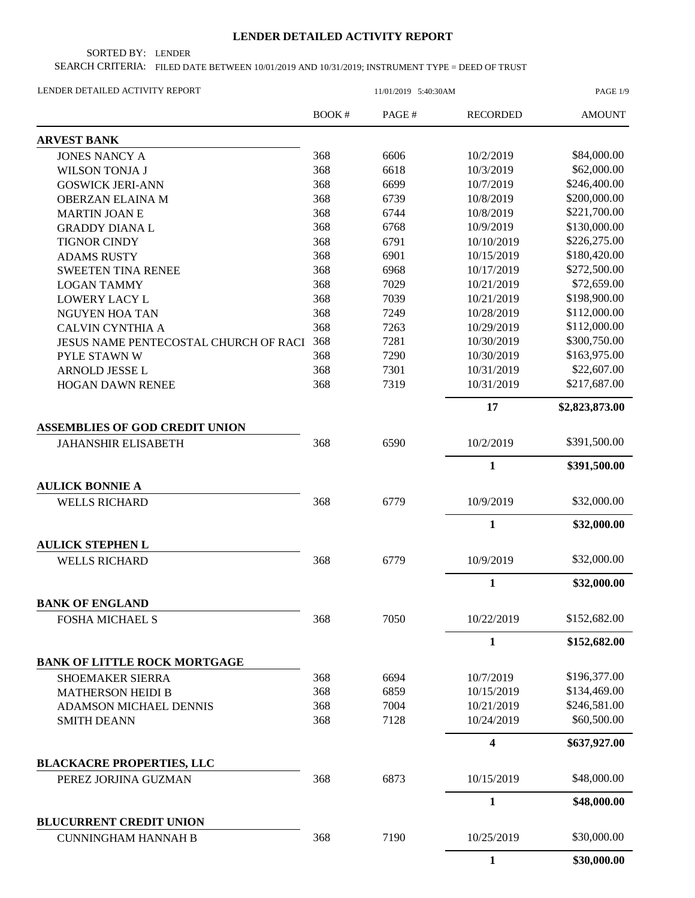## **LENDER DETAILED ACTIVITY REPORT**

SORTED BY: LENDER

SEARCH CRITERIA: FILED DATE BETWEEN 10/01/2019 AND 10/31/2019; INSTRUMENT TYPE = DEED OF TRUST

| LENDER DETAILED ACTIVITY REPORT       |                           | PAGE 1/9    |                 |                |
|---------------------------------------|---------------------------|-------------|-----------------|----------------|
|                                       | BOOK#                     | PAGE#       | <b>RECORDED</b> | <b>AMOUNT</b>  |
| <b>ARVEST BANK</b>                    |                           |             |                 |                |
| <b>JONES NANCY A</b>                  | 368                       | 6606        | 10/2/2019       | \$84,000.00    |
| <b>WILSON TONJA J</b>                 | 368                       | 6618        | 10/3/2019       | \$62,000.00    |
| <b>GOSWICK JERI-ANN</b>               | 368                       | 6699        | 10/7/2019       | \$246,400.00   |
| <b>OBERZAN ELAINA M</b>               | 368                       | 6739        | 10/8/2019       | \$200,000.00   |
| <b>MARTIN JOAN E</b>                  | 368                       | 6744        | 10/8/2019       | \$221,700.00   |
| <b>GRADDY DIANAL</b>                  | 368                       | 6768        | 10/9/2019       | \$130,000.00   |
| <b>TIGNOR CINDY</b>                   | 368                       | 6791        | 10/10/2019      | \$226,275.00   |
| <b>ADAMS RUSTY</b>                    | 368                       | 6901        | 10/15/2019      | \$180,420.00   |
| <b>SWEETEN TINA RENEE</b>             | 368                       | 6968        | 10/17/2019      | \$272,500.00   |
| <b>LOGAN TAMMY</b>                    | 368                       | 7029        | 10/21/2019      | \$72,659.00    |
| <b>LOWERY LACY L</b>                  | 368                       | 7039        | 10/21/2019      | \$198,900.00   |
| <b>NGUYEN HOA TAN</b>                 | 368                       | 7249        | 10/28/2019      | \$112,000.00   |
| <b>CALVIN CYNTHIA A</b>               | 368                       | 7263        | 10/29/2019      | \$112,000.00   |
| JESUS NAME PENTECOSTAL CHURCH OF RACI | 368                       | 7281        | 10/30/2019      | \$300,750.00   |
| PYLE STAWN W                          | 368                       | 7290        | 10/30/2019      | \$163,975.00   |
| ARNOLD JESSE L                        | 368                       | 7301        | 10/31/2019      | \$22,607.00    |
| <b>HOGAN DAWN RENEE</b>               | 368                       | 7319        | 10/31/2019      | \$217,687.00   |
|                                       |                           |             | 17              | \$2,823,873.00 |
| <b>ASSEMBLIES OF GOD CREDIT UNION</b> |                           |             |                 |                |
| <b>JAHANSHIR ELISABETH</b>            | 368                       | 6590        | 10/2/2019       | \$391,500.00   |
|                                       |                           |             | $\mathbf{1}$    | \$391,500.00   |
| <b>AULICK BONNIE A</b>                |                           |             |                 |                |
| <b>WELLS RICHARD</b>                  | 368                       | 6779        | 10/9/2019       | \$32,000.00    |
|                                       |                           |             | 1               | \$32,000.00    |
| <b>AULICK STEPHEN L</b>               |                           |             |                 |                |
| <b>WELLS RICHARD</b>                  | 368                       | 6779        | 10/9/2019       | \$32,000.00    |
|                                       |                           |             | 1               | \$32,000.00    |
| <b>BANK OF ENGLAND</b>                |                           |             |                 |                |
| FOSHA MICHAEL S                       | 368                       | 7050        | 10/22/2019      | \$152,682.00   |
|                                       |                           |             | $\mathbf{1}$    | \$152,682.00   |
| <b>BANK OF LITTLE ROCK MORTGAGE</b>   |                           |             |                 |                |
| SHOEMAKER SIERRA                      | 368                       | 6694        | 10/7/2019       | \$196,377.00   |
| <b>MATHERSON HEIDI B</b>              | 368                       | 6859        | 10/15/2019      | \$134,469.00   |
| ADAMSON MICHAEL DENNIS                | 368                       | 7004        | 10/21/2019      | \$246,581.00   |
| <b>SMITH DEANN</b>                    | 368<br>7128<br>10/24/2019 | \$60,500.00 |                 |                |
|                                       |                           |             | 4               | \$637,927.00   |
| <b>BLACKACRE PROPERTIES, LLC</b>      |                           |             |                 |                |
| PEREZ JORJINA GUZMAN                  | 368                       | 6873        | 10/15/2019      | \$48,000.00    |
|                                       |                           |             | $\mathbf{1}$    | \$48,000.00    |
| <b>BLUCURRENT CREDIT UNION</b>        |                           |             |                 |                |
| <b>CUNNINGHAM HANNAH B</b>            | 368                       | 7190        | 10/25/2019      | \$30,000.00    |
|                                       |                           |             | $\mathbf{1}$    | \$30,000.00    |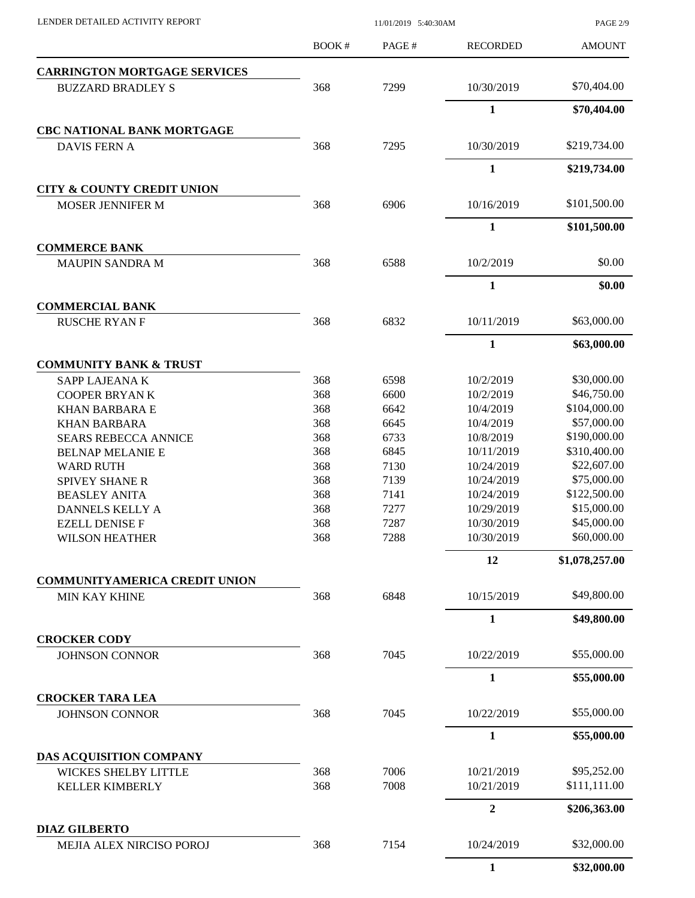PAGE 2/9

| <b>CARRINGTON MORTGAGE SERVICES</b><br>368<br>\$70,404.00<br>7299<br>10/30/2019<br><b>BUZZARD BRADLEY S</b><br>$\mathbf{1}$<br>\$70,404.00<br><b>CBC NATIONAL BANK MORTGAGE</b><br>7295<br>10/30/2019<br>\$219,734.00<br>368<br><b>DAVIS FERN A</b><br>$\mathbf{1}$<br>\$219,734.00<br><b>CITY &amp; COUNTY CREDIT UNION</b><br>6906<br>\$101,500.00<br>368<br>10/16/2019<br>MOSER JENNIFER M<br>$\mathbf{1}$<br>\$101,500.00<br><b>COMMERCE BANK</b><br>\$0.00<br>368<br>6588<br>10/2/2019<br><b>MAUPIN SANDRA M</b><br>$\mathbf{1}$<br>\$0.00<br><b>COMMERCIAL BANK</b><br>\$63,000.00<br>368<br>6832<br>10/11/2019<br><b>RUSCHE RYAN F</b><br>$\mathbf{1}$<br>\$63,000.00<br><b>COMMUNITY BANK &amp; TRUST</b><br>\$30,000.00<br>368<br>6598<br>10/2/2019<br>SAPP LAJEANA K<br>368<br>\$46,750.00<br>6600<br>10/2/2019<br><b>COOPER BRYANK</b><br>368<br>\$104,000.00<br>10/4/2019<br><b>KHAN BARBARA E</b><br>6642<br>368<br>\$57,000.00<br>6645<br>10/4/2019<br><b>KHAN BARBARA</b><br>368<br>\$190,000.00<br>6733<br>10/8/2019<br><b>SEARS REBECCA ANNICE</b><br>368<br>10/11/2019<br>\$310,400.00<br>6845<br><b>BELNAP MELANIE E</b><br>\$22,607.00<br>368<br>7130<br>10/24/2019<br><b>WARD RUTH</b><br>\$75,000.00<br>368<br>SPIVEY SHANE R<br>7139<br>10/24/2019<br>\$122,500.00<br>368<br>7141<br>10/24/2019<br><b>BEASLEY ANITA</b><br>368<br>\$15,000.00<br>7277<br>10/29/2019<br>DANNELS KELLY A<br>\$45,000.00<br>368<br>7287<br>10/30/2019<br><b>EZELL DENISE F</b><br>\$60,000.00<br>368<br>7288<br>10/30/2019<br>WILSON HEATHER<br>12<br>\$1,078,257.00<br><b>COMMUNITYAMERICA CREDIT UNION</b><br>\$49,800.00<br>368<br>6848<br>10/15/2019<br><b>MIN KAY KHINE</b><br>$\mathbf{1}$<br>\$49,800.00<br><b>CROCKER CODY</b><br>\$55,000.00<br>368<br>7045<br>10/22/2019<br><b>JOHNSON CONNOR</b><br>$\mathbf{1}$<br>\$55,000.00<br><b>CROCKER TARA LEA</b><br>\$55,000.00<br>368<br>7045<br>10/22/2019<br><b>JOHNSON CONNOR</b><br>1<br>\$55,000.00<br>DAS ACQUISITION COMPANY<br>\$95,252.00<br>7006<br>10/21/2019<br><b>WICKES SHELBY LITTLE</b><br>368<br>7008<br>10/21/2019<br>\$111,111.00<br>368<br><b>KELLER KIMBERLY</b><br>$\overline{2}$<br>\$206,363.00<br><b>DIAZ GILBERTO</b><br>\$32,000.00<br>7154<br>10/24/2019<br>MEJIA ALEX NIRCISO POROJ<br>368 | <b>BOOK#</b> | PAGE# | <b>RECORDED</b> | <b>AMOUNT</b> |
|-----------------------------------------------------------------------------------------------------------------------------------------------------------------------------------------------------------------------------------------------------------------------------------------------------------------------------------------------------------------------------------------------------------------------------------------------------------------------------------------------------------------------------------------------------------------------------------------------------------------------------------------------------------------------------------------------------------------------------------------------------------------------------------------------------------------------------------------------------------------------------------------------------------------------------------------------------------------------------------------------------------------------------------------------------------------------------------------------------------------------------------------------------------------------------------------------------------------------------------------------------------------------------------------------------------------------------------------------------------------------------------------------------------------------------------------------------------------------------------------------------------------------------------------------------------------------------------------------------------------------------------------------------------------------------------------------------------------------------------------------------------------------------------------------------------------------------------------------------------------------------------------------------------------------------------------------------------------------------------------------------------------------------------------------------------------------------------------------------------------------------------------------------------------------------------------------------------------------------------------------------------------------------------|--------------|-------|-----------------|---------------|
|                                                                                                                                                                                                                                                                                                                                                                                                                                                                                                                                                                                                                                                                                                                                                                                                                                                                                                                                                                                                                                                                                                                                                                                                                                                                                                                                                                                                                                                                                                                                                                                                                                                                                                                                                                                                                                                                                                                                                                                                                                                                                                                                                                                                                                                                                   |              |       |                 |               |
|                                                                                                                                                                                                                                                                                                                                                                                                                                                                                                                                                                                                                                                                                                                                                                                                                                                                                                                                                                                                                                                                                                                                                                                                                                                                                                                                                                                                                                                                                                                                                                                                                                                                                                                                                                                                                                                                                                                                                                                                                                                                                                                                                                                                                                                                                   |              |       |                 |               |
|                                                                                                                                                                                                                                                                                                                                                                                                                                                                                                                                                                                                                                                                                                                                                                                                                                                                                                                                                                                                                                                                                                                                                                                                                                                                                                                                                                                                                                                                                                                                                                                                                                                                                                                                                                                                                                                                                                                                                                                                                                                                                                                                                                                                                                                                                   |              |       |                 |               |
|                                                                                                                                                                                                                                                                                                                                                                                                                                                                                                                                                                                                                                                                                                                                                                                                                                                                                                                                                                                                                                                                                                                                                                                                                                                                                                                                                                                                                                                                                                                                                                                                                                                                                                                                                                                                                                                                                                                                                                                                                                                                                                                                                                                                                                                                                   |              |       |                 |               |
|                                                                                                                                                                                                                                                                                                                                                                                                                                                                                                                                                                                                                                                                                                                                                                                                                                                                                                                                                                                                                                                                                                                                                                                                                                                                                                                                                                                                                                                                                                                                                                                                                                                                                                                                                                                                                                                                                                                                                                                                                                                                                                                                                                                                                                                                                   |              |       |                 |               |
|                                                                                                                                                                                                                                                                                                                                                                                                                                                                                                                                                                                                                                                                                                                                                                                                                                                                                                                                                                                                                                                                                                                                                                                                                                                                                                                                                                                                                                                                                                                                                                                                                                                                                                                                                                                                                                                                                                                                                                                                                                                                                                                                                                                                                                                                                   |              |       |                 |               |
|                                                                                                                                                                                                                                                                                                                                                                                                                                                                                                                                                                                                                                                                                                                                                                                                                                                                                                                                                                                                                                                                                                                                                                                                                                                                                                                                                                                                                                                                                                                                                                                                                                                                                                                                                                                                                                                                                                                                                                                                                                                                                                                                                                                                                                                                                   |              |       |                 |               |
|                                                                                                                                                                                                                                                                                                                                                                                                                                                                                                                                                                                                                                                                                                                                                                                                                                                                                                                                                                                                                                                                                                                                                                                                                                                                                                                                                                                                                                                                                                                                                                                                                                                                                                                                                                                                                                                                                                                                                                                                                                                                                                                                                                                                                                                                                   |              |       |                 |               |
|                                                                                                                                                                                                                                                                                                                                                                                                                                                                                                                                                                                                                                                                                                                                                                                                                                                                                                                                                                                                                                                                                                                                                                                                                                                                                                                                                                                                                                                                                                                                                                                                                                                                                                                                                                                                                                                                                                                                                                                                                                                                                                                                                                                                                                                                                   |              |       |                 |               |
|                                                                                                                                                                                                                                                                                                                                                                                                                                                                                                                                                                                                                                                                                                                                                                                                                                                                                                                                                                                                                                                                                                                                                                                                                                                                                                                                                                                                                                                                                                                                                                                                                                                                                                                                                                                                                                                                                                                                                                                                                                                                                                                                                                                                                                                                                   |              |       |                 |               |
|                                                                                                                                                                                                                                                                                                                                                                                                                                                                                                                                                                                                                                                                                                                                                                                                                                                                                                                                                                                                                                                                                                                                                                                                                                                                                                                                                                                                                                                                                                                                                                                                                                                                                                                                                                                                                                                                                                                                                                                                                                                                                                                                                                                                                                                                                   |              |       |                 |               |
|                                                                                                                                                                                                                                                                                                                                                                                                                                                                                                                                                                                                                                                                                                                                                                                                                                                                                                                                                                                                                                                                                                                                                                                                                                                                                                                                                                                                                                                                                                                                                                                                                                                                                                                                                                                                                                                                                                                                                                                                                                                                                                                                                                                                                                                                                   |              |       |                 |               |
|                                                                                                                                                                                                                                                                                                                                                                                                                                                                                                                                                                                                                                                                                                                                                                                                                                                                                                                                                                                                                                                                                                                                                                                                                                                                                                                                                                                                                                                                                                                                                                                                                                                                                                                                                                                                                                                                                                                                                                                                                                                                                                                                                                                                                                                                                   |              |       |                 |               |
|                                                                                                                                                                                                                                                                                                                                                                                                                                                                                                                                                                                                                                                                                                                                                                                                                                                                                                                                                                                                                                                                                                                                                                                                                                                                                                                                                                                                                                                                                                                                                                                                                                                                                                                                                                                                                                                                                                                                                                                                                                                                                                                                                                                                                                                                                   |              |       |                 |               |
|                                                                                                                                                                                                                                                                                                                                                                                                                                                                                                                                                                                                                                                                                                                                                                                                                                                                                                                                                                                                                                                                                                                                                                                                                                                                                                                                                                                                                                                                                                                                                                                                                                                                                                                                                                                                                                                                                                                                                                                                                                                                                                                                                                                                                                                                                   |              |       |                 |               |
|                                                                                                                                                                                                                                                                                                                                                                                                                                                                                                                                                                                                                                                                                                                                                                                                                                                                                                                                                                                                                                                                                                                                                                                                                                                                                                                                                                                                                                                                                                                                                                                                                                                                                                                                                                                                                                                                                                                                                                                                                                                                                                                                                                                                                                                                                   |              |       |                 |               |
|                                                                                                                                                                                                                                                                                                                                                                                                                                                                                                                                                                                                                                                                                                                                                                                                                                                                                                                                                                                                                                                                                                                                                                                                                                                                                                                                                                                                                                                                                                                                                                                                                                                                                                                                                                                                                                                                                                                                                                                                                                                                                                                                                                                                                                                                                   |              |       |                 |               |
|                                                                                                                                                                                                                                                                                                                                                                                                                                                                                                                                                                                                                                                                                                                                                                                                                                                                                                                                                                                                                                                                                                                                                                                                                                                                                                                                                                                                                                                                                                                                                                                                                                                                                                                                                                                                                                                                                                                                                                                                                                                                                                                                                                                                                                                                                   |              |       |                 |               |
|                                                                                                                                                                                                                                                                                                                                                                                                                                                                                                                                                                                                                                                                                                                                                                                                                                                                                                                                                                                                                                                                                                                                                                                                                                                                                                                                                                                                                                                                                                                                                                                                                                                                                                                                                                                                                                                                                                                                                                                                                                                                                                                                                                                                                                                                                   |              |       |                 |               |
|                                                                                                                                                                                                                                                                                                                                                                                                                                                                                                                                                                                                                                                                                                                                                                                                                                                                                                                                                                                                                                                                                                                                                                                                                                                                                                                                                                                                                                                                                                                                                                                                                                                                                                                                                                                                                                                                                                                                                                                                                                                                                                                                                                                                                                                                                   |              |       |                 |               |
|                                                                                                                                                                                                                                                                                                                                                                                                                                                                                                                                                                                                                                                                                                                                                                                                                                                                                                                                                                                                                                                                                                                                                                                                                                                                                                                                                                                                                                                                                                                                                                                                                                                                                                                                                                                                                                                                                                                                                                                                                                                                                                                                                                                                                                                                                   |              |       |                 |               |
|                                                                                                                                                                                                                                                                                                                                                                                                                                                                                                                                                                                                                                                                                                                                                                                                                                                                                                                                                                                                                                                                                                                                                                                                                                                                                                                                                                                                                                                                                                                                                                                                                                                                                                                                                                                                                                                                                                                                                                                                                                                                                                                                                                                                                                                                                   |              |       |                 |               |
|                                                                                                                                                                                                                                                                                                                                                                                                                                                                                                                                                                                                                                                                                                                                                                                                                                                                                                                                                                                                                                                                                                                                                                                                                                                                                                                                                                                                                                                                                                                                                                                                                                                                                                                                                                                                                                                                                                                                                                                                                                                                                                                                                                                                                                                                                   |              |       |                 |               |
|                                                                                                                                                                                                                                                                                                                                                                                                                                                                                                                                                                                                                                                                                                                                                                                                                                                                                                                                                                                                                                                                                                                                                                                                                                                                                                                                                                                                                                                                                                                                                                                                                                                                                                                                                                                                                                                                                                                                                                                                                                                                                                                                                                                                                                                                                   |              |       |                 |               |
|                                                                                                                                                                                                                                                                                                                                                                                                                                                                                                                                                                                                                                                                                                                                                                                                                                                                                                                                                                                                                                                                                                                                                                                                                                                                                                                                                                                                                                                                                                                                                                                                                                                                                                                                                                                                                                                                                                                                                                                                                                                                                                                                                                                                                                                                                   |              |       |                 |               |
|                                                                                                                                                                                                                                                                                                                                                                                                                                                                                                                                                                                                                                                                                                                                                                                                                                                                                                                                                                                                                                                                                                                                                                                                                                                                                                                                                                                                                                                                                                                                                                                                                                                                                                                                                                                                                                                                                                                                                                                                                                                                                                                                                                                                                                                                                   |              |       |                 |               |
|                                                                                                                                                                                                                                                                                                                                                                                                                                                                                                                                                                                                                                                                                                                                                                                                                                                                                                                                                                                                                                                                                                                                                                                                                                                                                                                                                                                                                                                                                                                                                                                                                                                                                                                                                                                                                                                                                                                                                                                                                                                                                                                                                                                                                                                                                   |              |       |                 |               |
|                                                                                                                                                                                                                                                                                                                                                                                                                                                                                                                                                                                                                                                                                                                                                                                                                                                                                                                                                                                                                                                                                                                                                                                                                                                                                                                                                                                                                                                                                                                                                                                                                                                                                                                                                                                                                                                                                                                                                                                                                                                                                                                                                                                                                                                                                   |              |       |                 |               |
|                                                                                                                                                                                                                                                                                                                                                                                                                                                                                                                                                                                                                                                                                                                                                                                                                                                                                                                                                                                                                                                                                                                                                                                                                                                                                                                                                                                                                                                                                                                                                                                                                                                                                                                                                                                                                                                                                                                                                                                                                                                                                                                                                                                                                                                                                   |              |       |                 |               |
|                                                                                                                                                                                                                                                                                                                                                                                                                                                                                                                                                                                                                                                                                                                                                                                                                                                                                                                                                                                                                                                                                                                                                                                                                                                                                                                                                                                                                                                                                                                                                                                                                                                                                                                                                                                                                                                                                                                                                                                                                                                                                                                                                                                                                                                                                   |              |       |                 |               |
|                                                                                                                                                                                                                                                                                                                                                                                                                                                                                                                                                                                                                                                                                                                                                                                                                                                                                                                                                                                                                                                                                                                                                                                                                                                                                                                                                                                                                                                                                                                                                                                                                                                                                                                                                                                                                                                                                                                                                                                                                                                                                                                                                                                                                                                                                   |              |       |                 |               |
|                                                                                                                                                                                                                                                                                                                                                                                                                                                                                                                                                                                                                                                                                                                                                                                                                                                                                                                                                                                                                                                                                                                                                                                                                                                                                                                                                                                                                                                                                                                                                                                                                                                                                                                                                                                                                                                                                                                                                                                                                                                                                                                                                                                                                                                                                   |              |       |                 |               |
|                                                                                                                                                                                                                                                                                                                                                                                                                                                                                                                                                                                                                                                                                                                                                                                                                                                                                                                                                                                                                                                                                                                                                                                                                                                                                                                                                                                                                                                                                                                                                                                                                                                                                                                                                                                                                                                                                                                                                                                                                                                                                                                                                                                                                                                                                   |              |       |                 |               |
|                                                                                                                                                                                                                                                                                                                                                                                                                                                                                                                                                                                                                                                                                                                                                                                                                                                                                                                                                                                                                                                                                                                                                                                                                                                                                                                                                                                                                                                                                                                                                                                                                                                                                                                                                                                                                                                                                                                                                                                                                                                                                                                                                                                                                                                                                   |              |       |                 |               |
|                                                                                                                                                                                                                                                                                                                                                                                                                                                                                                                                                                                                                                                                                                                                                                                                                                                                                                                                                                                                                                                                                                                                                                                                                                                                                                                                                                                                                                                                                                                                                                                                                                                                                                                                                                                                                                                                                                                                                                                                                                                                                                                                                                                                                                                                                   |              |       |                 |               |
|                                                                                                                                                                                                                                                                                                                                                                                                                                                                                                                                                                                                                                                                                                                                                                                                                                                                                                                                                                                                                                                                                                                                                                                                                                                                                                                                                                                                                                                                                                                                                                                                                                                                                                                                                                                                                                                                                                                                                                                                                                                                                                                                                                                                                                                                                   |              |       |                 |               |
|                                                                                                                                                                                                                                                                                                                                                                                                                                                                                                                                                                                                                                                                                                                                                                                                                                                                                                                                                                                                                                                                                                                                                                                                                                                                                                                                                                                                                                                                                                                                                                                                                                                                                                                                                                                                                                                                                                                                                                                                                                                                                                                                                                                                                                                                                   |              |       |                 |               |
|                                                                                                                                                                                                                                                                                                                                                                                                                                                                                                                                                                                                                                                                                                                                                                                                                                                                                                                                                                                                                                                                                                                                                                                                                                                                                                                                                                                                                                                                                                                                                                                                                                                                                                                                                                                                                                                                                                                                                                                                                                                                                                                                                                                                                                                                                   |              |       |                 |               |
|                                                                                                                                                                                                                                                                                                                                                                                                                                                                                                                                                                                                                                                                                                                                                                                                                                                                                                                                                                                                                                                                                                                                                                                                                                                                                                                                                                                                                                                                                                                                                                                                                                                                                                                                                                                                                                                                                                                                                                                                                                                                                                                                                                                                                                                                                   |              |       |                 |               |
|                                                                                                                                                                                                                                                                                                                                                                                                                                                                                                                                                                                                                                                                                                                                                                                                                                                                                                                                                                                                                                                                                                                                                                                                                                                                                                                                                                                                                                                                                                                                                                                                                                                                                                                                                                                                                                                                                                                                                                                                                                                                                                                                                                                                                                                                                   |              |       |                 |               |
|                                                                                                                                                                                                                                                                                                                                                                                                                                                                                                                                                                                                                                                                                                                                                                                                                                                                                                                                                                                                                                                                                                                                                                                                                                                                                                                                                                                                                                                                                                                                                                                                                                                                                                                                                                                                                                                                                                                                                                                                                                                                                                                                                                                                                                                                                   |              |       |                 |               |
|                                                                                                                                                                                                                                                                                                                                                                                                                                                                                                                                                                                                                                                                                                                                                                                                                                                                                                                                                                                                                                                                                                                                                                                                                                                                                                                                                                                                                                                                                                                                                                                                                                                                                                                                                                                                                                                                                                                                                                                                                                                                                                                                                                                                                                                                                   |              |       |                 |               |
|                                                                                                                                                                                                                                                                                                                                                                                                                                                                                                                                                                                                                                                                                                                                                                                                                                                                                                                                                                                                                                                                                                                                                                                                                                                                                                                                                                                                                                                                                                                                                                                                                                                                                                                                                                                                                                                                                                                                                                                                                                                                                                                                                                                                                                                                                   |              |       |                 |               |
|                                                                                                                                                                                                                                                                                                                                                                                                                                                                                                                                                                                                                                                                                                                                                                                                                                                                                                                                                                                                                                                                                                                                                                                                                                                                                                                                                                                                                                                                                                                                                                                                                                                                                                                                                                                                                                                                                                                                                                                                                                                                                                                                                                                                                                                                                   |              |       |                 |               |
|                                                                                                                                                                                                                                                                                                                                                                                                                                                                                                                                                                                                                                                                                                                                                                                                                                                                                                                                                                                                                                                                                                                                                                                                                                                                                                                                                                                                                                                                                                                                                                                                                                                                                                                                                                                                                                                                                                                                                                                                                                                                                                                                                                                                                                                                                   |              |       | $\mathbf{1}$    | \$32,000.00   |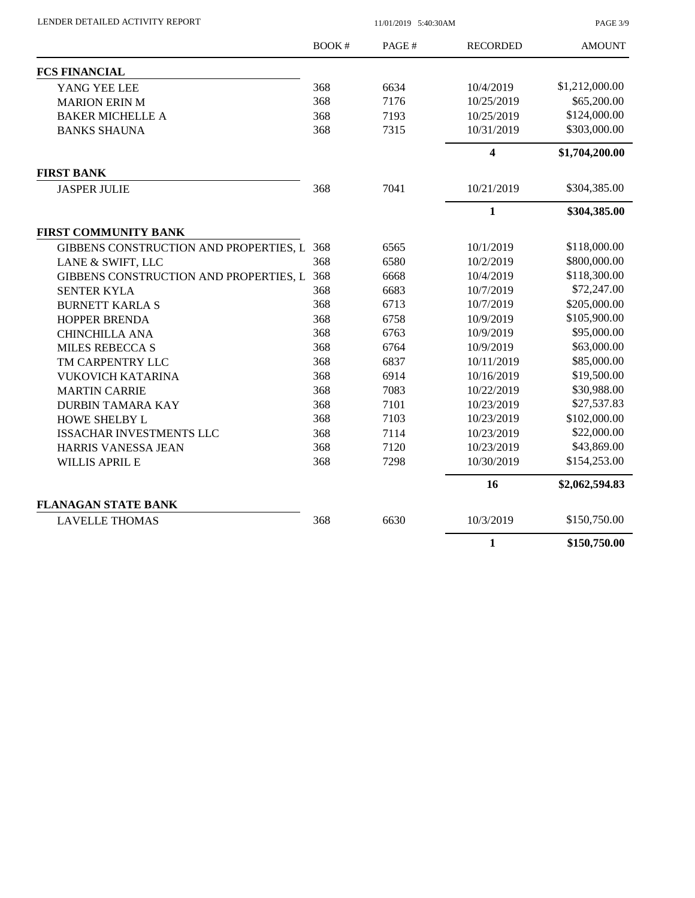LENDER DETAILED ACTIVITY REPORT 11/01/2019 5:40:30AM

PAGE 3/9

|                                            | <b>BOOK#</b> | PAGE# | <b>RECORDED</b>         | <b>AMOUNT</b>  |
|--------------------------------------------|--------------|-------|-------------------------|----------------|
| <b>FCS FINANCIAL</b>                       |              |       |                         |                |
| YANG YEE LEE                               | 368          | 6634  | 10/4/2019               | \$1,212,000.00 |
| <b>MARION ERIN M</b>                       | 368          | 7176  | 10/25/2019              | \$65,200.00    |
| <b>BAKER MICHELLE A</b>                    | 368          | 7193  | 10/25/2019              | \$124,000.00   |
| <b>BANKS SHAUNA</b>                        | 368          | 7315  | 10/31/2019              | \$303,000.00   |
|                                            |              |       | $\overline{\mathbf{4}}$ | \$1,704,200.00 |
| <b>FIRST BANK</b>                          |              |       |                         |                |
| <b>JASPER JULIE</b>                        | 368          | 7041  | 10/21/2019              | \$304,385.00   |
|                                            |              |       | $\mathbf{1}$            | \$304,385.00   |
| <b>FIRST COMMUNITY BANK</b>                |              |       |                         |                |
| GIBBENS CONSTRUCTION AND PROPERTIES, L 368 |              | 6565  | 10/1/2019               | \$118,000.00   |
| LANE & SWIFT, LLC                          | 368          | 6580  | 10/2/2019               | \$800,000.00   |
| GIBBENS CONSTRUCTION AND PROPERTIES, L 368 |              | 6668  | 10/4/2019               | \$118,300.00   |
| <b>SENTER KYLA</b>                         | 368          | 6683  | 10/7/2019               | \$72,247.00    |
| <b>BURNETT KARLA S</b>                     | 368          | 6713  | 10/7/2019               | \$205,000.00   |
| <b>HOPPER BRENDA</b>                       | 368          | 6758  | 10/9/2019               | \$105,900.00   |
| <b>CHINCHILLA ANA</b>                      | 368          | 6763  | 10/9/2019               | \$95,000.00    |
| <b>MILES REBECCA S</b>                     | 368          | 6764  | 10/9/2019               | \$63,000.00    |
| TM CARPENTRY LLC                           | 368          | 6837  | 10/11/2019              | \$85,000.00    |
| <b>VUKOVICH KATARINA</b>                   | 368          | 6914  | 10/16/2019              | \$19,500.00    |
| <b>MARTIN CARRIE</b>                       | 368          | 7083  | 10/22/2019              | \$30,988.00    |
| <b>DURBIN TAMARA KAY</b>                   | 368          | 7101  | 10/23/2019              | \$27,537.83    |
| HOWE SHELBY L                              | 368          | 7103  | 10/23/2019              | \$102,000.00   |
| <b>ISSACHAR INVESTMENTS LLC</b>            | 368          | 7114  | 10/23/2019              | \$22,000.00    |
| <b>HARRIS VANESSA JEAN</b>                 | 368          | 7120  | 10/23/2019              | \$43,869.00    |
| <b>WILLIS APRIL E</b>                      | 368          | 7298  | 10/30/2019              | \$154,253.00   |
|                                            |              |       | 16                      | \$2,062,594.83 |
| <b>FLANAGAN STATE BANK</b>                 |              |       |                         |                |
| <b>LAVELLE THOMAS</b>                      | 368          | 6630  | 10/3/2019               | \$150,750.00   |
|                                            |              |       | $\mathbf{1}$            | \$150,750.00   |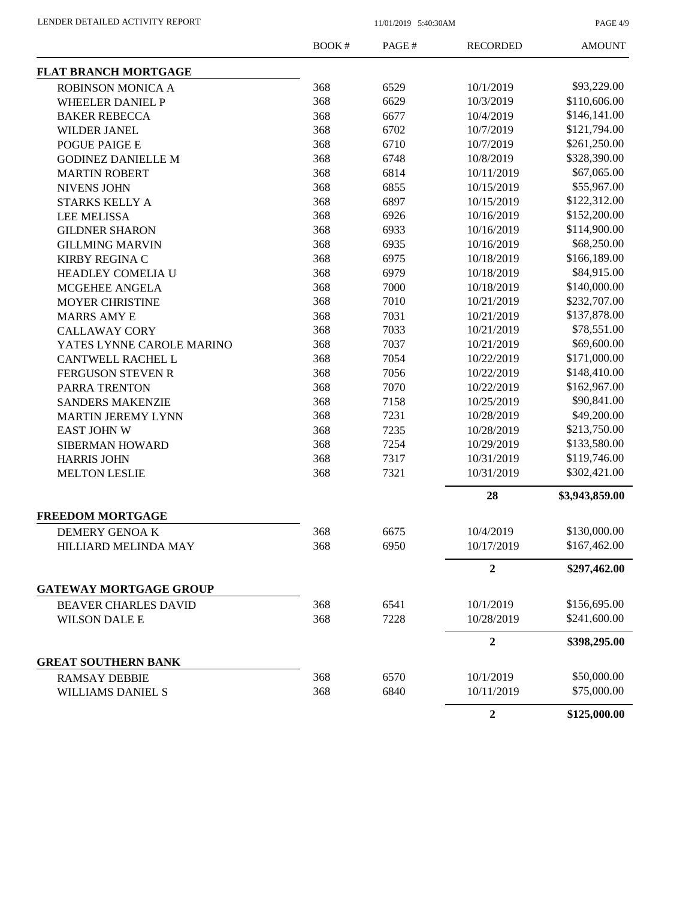PAGE 4/9

|                                              | <b>BOOK#</b> | PAGE#        | <b>RECORDED</b>         | <b>AMOUNT</b>  |
|----------------------------------------------|--------------|--------------|-------------------------|----------------|
| <b>FLAT BRANCH MORTGAGE</b>                  |              |              |                         |                |
| ROBINSON MONICA A                            | 368          | 6529         | 10/1/2019               | \$93,229.00    |
| <b>WHEELER DANIEL P</b>                      | 368          | 6629         | 10/3/2019               | \$110,606.00   |
| <b>BAKER REBECCA</b>                         | 368          | 6677         | 10/4/2019               | \$146,141.00   |
| <b>WILDER JANEL</b>                          | 368          | 6702         | 10/7/2019               | \$121,794.00   |
| POGUE PAIGE E                                | 368          | 6710         | 10/7/2019               | \$261,250.00   |
| <b>GODINEZ DANIELLE M</b>                    | 368          | 6748         | 10/8/2019               | \$328,390.00   |
| <b>MARTIN ROBERT</b>                         | 368          | 6814         | 10/11/2019              | \$67,065.00    |
| <b>NIVENS JOHN</b>                           | 368          | 6855         | 10/15/2019              | \$55,967.00    |
| STARKS KELLY A                               | 368          | 6897         | 10/15/2019              | \$122,312.00   |
| <b>LEE MELISSA</b>                           | 368          | 6926         | 10/16/2019              | \$152,200.00   |
| <b>GILDNER SHARON</b>                        | 368          | 6933         | 10/16/2019              | \$114,900.00   |
| <b>GILLMING MARVIN</b>                       | 368          | 6935         | 10/16/2019              | \$68,250.00    |
| <b>KIRBY REGINA C</b>                        | 368          | 6975         | 10/18/2019              | \$166,189.00   |
| HEADLEY COMELIA U                            | 368          | 6979         | 10/18/2019              | \$84,915.00    |
| MCGEHEE ANGELA                               | 368          | 7000         | 10/18/2019              | \$140,000.00   |
| <b>MOYER CHRISTINE</b>                       | 368          | 7010         | 10/21/2019              | \$232,707.00   |
| <b>MARRS AMY E</b>                           | 368          | 7031         | 10/21/2019              | \$137,878.00   |
| <b>CALLAWAY CORY</b>                         | 368          | 7033         | 10/21/2019              | \$78,551.00    |
| YATES LYNNE CAROLE MARINO                    | 368          | 7037         | 10/21/2019              | \$69,600.00    |
| <b>CANTWELL RACHEL L</b>                     | 368          | 7054         | 10/22/2019              | \$171,000.00   |
| <b>FERGUSON STEVEN R</b>                     | 368          | 7056         | 10/22/2019              | \$148,410.00   |
| PARRA TRENTON                                | 368          | 7070         | 10/22/2019              | \$162,967.00   |
| <b>SANDERS MAKENZIE</b>                      | 368          | 7158         | 10/25/2019              | \$90,841.00    |
| <b>MARTIN JEREMY LYNN</b>                    | 368          | 7231         | 10/28/2019              | \$49,200.00    |
| <b>EAST JOHN W</b>                           | 368          | 7235         | 10/28/2019              | \$213,750.00   |
|                                              | 368          | 7254         | 10/29/2019              | \$133,580.00   |
| SIBERMAN HOWARD                              | 368          | 7317         | 10/31/2019              | \$119,746.00   |
| <b>HARRIS JOHN</b>                           | 368          | 7321         | 10/31/2019              | \$302,421.00   |
| <b>MELTON LESLIE</b>                         |              |              |                         |                |
|                                              |              |              | 28                      | \$3,943,859.00 |
| <b>FREEDOM MORTGAGE</b>                      |              |              |                         | \$130,000.00   |
| DEMERY GENOAK<br><b>HILLIARD MELINDA MAY</b> | 368<br>368   | 6675<br>6950 | 10/4/2019<br>10/17/2019 | \$167,462.00   |
|                                              |              |              | $\boldsymbol{2}$        | \$297,462.00   |
| <b>GATEWAY MORTGAGE GROUP</b>                |              |              |                         |                |
|                                              |              |              |                         |                |
| <b>BEAVER CHARLES DAVID</b>                  | 368          | 6541         | 10/1/2019               | \$156,695.00   |
| <b>WILSON DALE E</b>                         | 368          | 7228         | 10/28/2019              | \$241,600.00   |
|                                              |              |              | $\boldsymbol{2}$        | \$398,295.00   |
| <b>GREAT SOUTHERN BANK</b>                   |              |              |                         |                |
| <b>RAMSAY DEBBIE</b>                         | 368          | 6570         | 10/1/2019               | \$50,000.00    |
| <b>WILLIAMS DANIEL S</b>                     | 368          | 6840         | 10/11/2019              | \$75,000.00    |
|                                              |              |              | $\overline{2}$          | \$125,000.00   |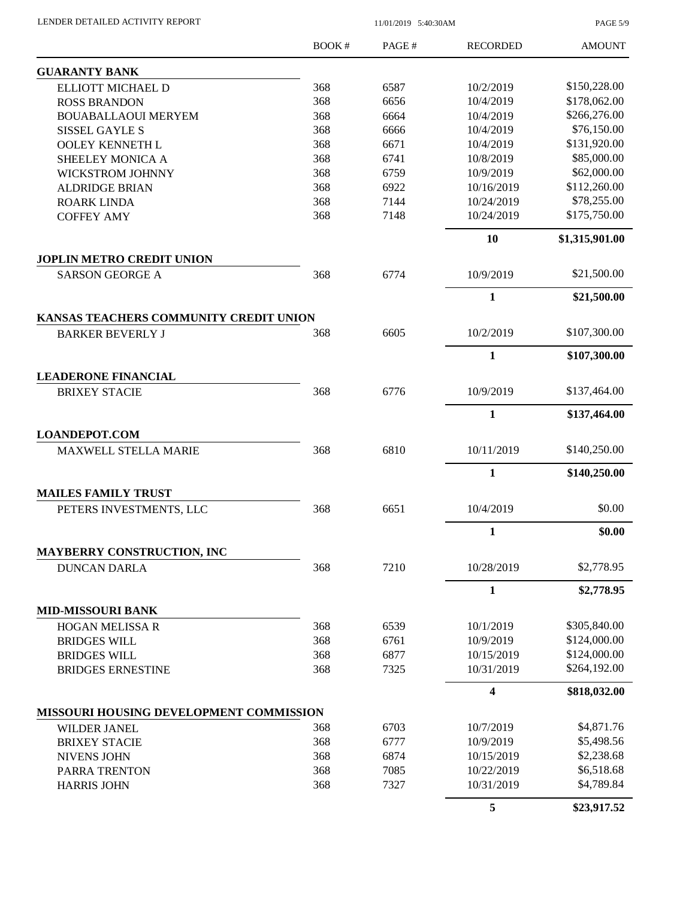| LENDER DETAILED ACTIVITY REPORT |  |
|---------------------------------|--|
|                                 |  |

11/01/2019 5:40:30AM

PAGE 5/9

|                                                                   | BOOK#      | PAGE#        | <b>RECORDED</b>          | <b>AMOUNT</b>            |
|-------------------------------------------------------------------|------------|--------------|--------------------------|--------------------------|
| <b>GUARANTY BANK</b>                                              |            |              |                          |                          |
| ELLIOTT MICHAEL D                                                 | 368        | 6587         | 10/2/2019                | \$150,228.00             |
| <b>ROSS BRANDON</b>                                               | 368        | 6656         | 10/4/2019                | \$178,062.00             |
| <b>BOUABALLAOUI MERYEM</b>                                        | 368        | 6664         | 10/4/2019                | \$266,276.00             |
| <b>SISSEL GAYLE S</b>                                             | 368        | 6666         | 10/4/2019                | \$76,150.00              |
| OOLEY KENNETH L                                                   | 368        | 6671         | 10/4/2019                | \$131,920.00             |
| SHEELEY MONICA A                                                  | 368        | 6741         | 10/8/2019                | \$85,000.00              |
| <b>WICKSTROM JOHNNY</b>                                           | 368        | 6759         | 10/9/2019                | \$62,000.00              |
| <b>ALDRIDGE BRIAN</b>                                             | 368        | 6922         | 10/16/2019               | \$112,260.00             |
| <b>ROARK LINDA</b>                                                | 368        | 7144         | 10/24/2019               | \$78,255.00              |
| <b>COFFEY AMY</b>                                                 | 368        | 7148         | 10/24/2019               | \$175,750.00             |
|                                                                   |            |              | 10                       | \$1,315,901.00           |
| <b>JOPLIN METRO CREDIT UNION</b>                                  |            |              |                          |                          |
| <b>SARSON GEORGE A</b>                                            | 368        | 6774         | 10/9/2019                | \$21,500.00              |
|                                                                   |            |              | 1                        | \$21,500.00              |
| KANSAS TEACHERS COMMUNITY CREDIT UNION<br><b>BARKER BEVERLY J</b> | 368        | 6605         | 10/2/2019                | \$107,300.00             |
|                                                                   |            |              | $\mathbf{1}$             | \$107,300.00             |
| <b>LEADERONE FINANCIAL</b>                                        |            |              |                          |                          |
| <b>BRIXEY STACIE</b>                                              | 368        | 6776         | 10/9/2019                | \$137,464.00             |
|                                                                   |            |              | 1                        | \$137,464.00             |
| <b>LOANDEPOT.COM</b>                                              |            |              |                          |                          |
| <b>MAXWELL STELLA MARIE</b>                                       | 368        | 6810         | 10/11/2019               | \$140,250.00             |
|                                                                   |            |              | 1                        | \$140,250.00             |
| <b>MAILES FAMILY TRUST</b>                                        |            |              |                          |                          |
| PETERS INVESTMENTS, LLC                                           | 368        | 6651         | 10/4/2019                | \$0.00                   |
|                                                                   |            |              | $\mathbf{1}$             | \$0.00                   |
| <b>MAYBERRY CONSTRUCTION, INC</b><br><b>DUNCAN DARLA</b>          | 368        | 7210         | 10/28/2019               | \$2,778.95               |
|                                                                   |            |              | $\mathbf{1}$             | \$2,778.95               |
| <b>MID-MISSOURI BANK</b>                                          |            |              |                          |                          |
| HOGAN MELISSA R                                                   | 368        | 6539         | 10/1/2019                | \$305,840.00             |
| <b>BRIDGES WILL</b>                                               | 368        | 6761         | 10/9/2019                | \$124,000.00             |
| <b>BRIDGES WILL</b>                                               | 368        | 6877         | 10/15/2019               | \$124,000.00             |
| <b>BRIDGES ERNESTINE</b>                                          | 368        | 7325         | 10/31/2019               | \$264,192.00             |
|                                                                   |            |              | 4                        | \$818,032.00             |
| MISSOURI HOUSING DEVELOPMENT COMMISSION                           |            |              |                          |                          |
| WILDER JANEL                                                      | 368        | 6703         | 10/7/2019                | \$4,871.76               |
| <b>BRIXEY STACIE</b>                                              | 368        | 6777         | 10/9/2019                | \$5,498.56               |
| <b>NIVENS JOHN</b>                                                | 368        | 6874         | 10/15/2019               | \$2,238.68               |
| PARRA TRENTON<br><b>HARRIS JOHN</b>                               | 368<br>368 | 7085<br>7327 | 10/22/2019<br>10/31/2019 | \$6,518.68<br>\$4,789.84 |
|                                                                   |            |              | 5                        | \$23,917.52              |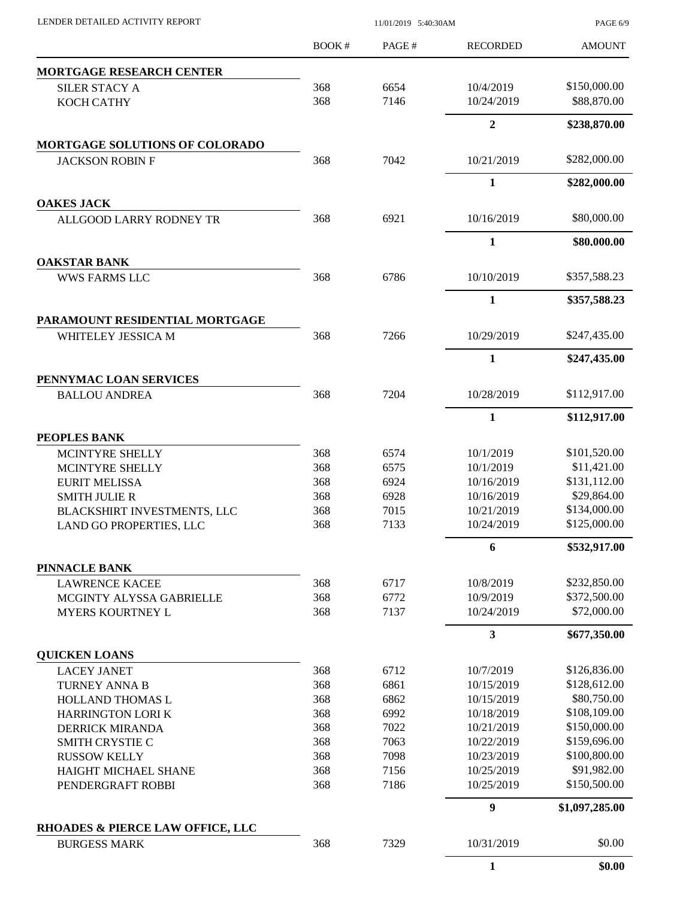PAGE 6/9

|                                                    | <b>BOOK#</b> | PAGE#        | <b>RECORDED</b>          | <b>AMOUNT</b>               |
|----------------------------------------------------|--------------|--------------|--------------------------|-----------------------------|
| <b>MORTGAGE RESEARCH CENTER</b>                    |              |              |                          |                             |
| SILER STACY A                                      | 368          | 6654         | 10/4/2019                | \$150,000.00                |
| <b>KOCH CATHY</b>                                  | 368          | 7146         | 10/24/2019               | \$88,870.00                 |
|                                                    |              |              | $\overline{2}$           | \$238,870.00                |
| <b>MORTGAGE SOLUTIONS OF COLORADO</b>              |              |              |                          |                             |
| <b>JACKSON ROBIN F</b>                             | 368          | 7042         | 10/21/2019               | \$282,000.00                |
|                                                    |              |              | $\mathbf{1}$             | \$282,000.00                |
| <b>OAKES JACK</b>                                  |              |              |                          |                             |
| ALLGOOD LARRY RODNEY TR                            | 368          | 6921         | 10/16/2019               | \$80,000.00                 |
|                                                    |              |              | 1                        | \$80,000.00                 |
| <b>OAKSTAR BANK</b>                                |              |              |                          |                             |
| <b>WWS FARMS LLC</b>                               | 368          | 6786         | 10/10/2019               | \$357,588.23                |
|                                                    |              |              | $\mathbf{1}$             | \$357,588.23                |
| PARAMOUNT RESIDENTIAL MORTGAGE                     |              |              |                          |                             |
| WHITELEY JESSICA M                                 | 368          | 7266         | 10/29/2019               | \$247,435.00                |
|                                                    |              |              | $\mathbf{1}$             | \$247,435.00                |
| PENNYMAC LOAN SERVICES<br><b>BALLOU ANDREA</b>     | 368          | 7204         | 10/28/2019               | \$112,917.00                |
|                                                    |              |              | 1                        | \$112,917.00                |
|                                                    |              |              |                          |                             |
| PEOPLES BANK<br>MCINTYRE SHELLY                    | 368          | 6574         | 10/1/2019                | \$101,520.00                |
| MCINTYRE SHELLY                                    | 368          | 6575         | 10/1/2019                | \$11,421.00                 |
| <b>EURIT MELISSA</b>                               | 368          | 6924         | 10/16/2019               | \$131,112.00                |
| <b>SMITH JULIE R</b>                               | 368          | 6928         | 10/16/2019               | \$29,864.00                 |
| BLACKSHIRT INVESTMENTS, LLC                        | 368          | 7015         | 10/21/2019               | \$134,000.00                |
| LAND GO PROPERTIES, LLC                            | 368          | 7133         | 10/24/2019               | \$125,000.00                |
|                                                    |              |              | 6                        | \$532,917.00                |
| PINNACLE BANK                                      |              |              |                          |                             |
| <b>LAWRENCE KACEE</b>                              | 368          | 6717         | 10/8/2019                | \$232,850.00                |
| MCGINTY ALYSSA GABRIELLE                           | 368          | 6772         | 10/9/2019                | \$372,500.00                |
| <b>MYERS KOURTNEY L</b>                            | 368          | 7137         | 10/24/2019               | \$72,000.00                 |
|                                                    |              |              | 3                        | \$677,350.00                |
| <b>QUICKEN LOANS</b>                               |              |              |                          |                             |
| <b>LACEY JANET</b>                                 | 368          | 6712         | 10/7/2019                | \$126,836.00                |
| TURNEY ANNA B                                      | 368          | 6861         | 10/15/2019               | \$128,612.00<br>\$80,750.00 |
| HOLLAND THOMAS L                                   | 368<br>368   | 6862<br>6992 | 10/15/2019<br>10/18/2019 | \$108,109.00                |
| <b>HARRINGTON LORI K</b><br><b>DERRICK MIRANDA</b> | 368          | 7022         | 10/21/2019               | \$150,000.00                |
| SMITH CRYSTIE C                                    | 368          | 7063         | 10/22/2019               | \$159,696.00                |
| <b>RUSSOW KELLY</b>                                | 368          | 7098         | 10/23/2019               | \$100,800.00                |
| HAIGHT MICHAEL SHANE                               | 368          | 7156         | 10/25/2019               | \$91,982.00                 |
| PENDERGRAFT ROBBI                                  | 368          | 7186         | 10/25/2019               | \$150,500.00                |
|                                                    |              |              | $\boldsymbol{9}$         | \$1,097,285.00              |
| RHOADES & PIERCE LAW OFFICE, LLC                   |              |              |                          |                             |
| <b>BURGESS MARK</b>                                | 368          | 7329         | 10/31/2019               | \$0.00                      |
|                                                    |              |              | $\mathbf{1}$             | \$0.00                      |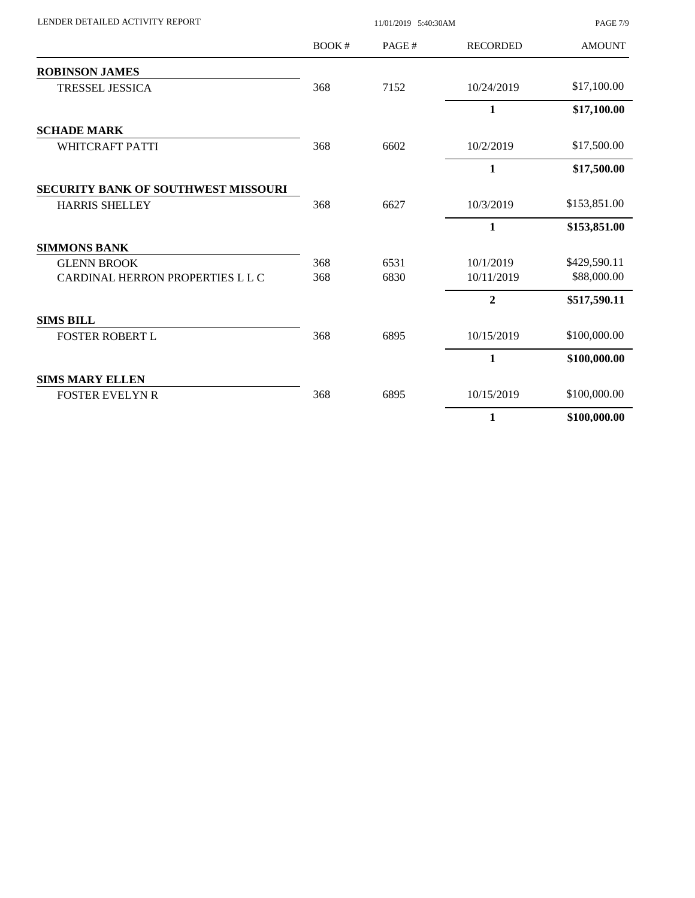| LENDER DETAILED ACTIVITY REPORT     |       | <b>PAGE 7/9</b> |                 |               |
|-------------------------------------|-------|-----------------|-----------------|---------------|
|                                     | BOOK# | PAGE#           | <b>RECORDED</b> | <b>AMOUNT</b> |
| <b>ROBINSON JAMES</b>               |       |                 |                 |               |
| <b>TRESSEL JESSICA</b>              | 368   | 7152            | 10/24/2019      | \$17,100.00   |
|                                     |       |                 | $\mathbf{1}$    | \$17,100.00   |
| <b>SCHADE MARK</b>                  |       |                 |                 |               |
| WHITCRAFT PATTI                     | 368   | 6602            | 10/2/2019       | \$17,500.00   |
|                                     |       |                 | 1               | \$17,500.00   |
| SECURITY BANK OF SOUTHWEST MISSOURI |       |                 |                 |               |
| <b>HARRIS SHELLEY</b>               | 368   | 6627            | 10/3/2019       | \$153,851.00  |
|                                     |       |                 | 1               | \$153,851.00  |
| <b>SIMMONS BANK</b>                 |       |                 |                 |               |
| <b>GLENN BROOK</b>                  | 368   | 6531            | 10/1/2019       | \$429,590.11  |
| CARDINAL HERRON PROPERTIES L L C    | 368   | 6830            | 10/11/2019      | \$88,000.00   |
|                                     |       |                 | $\overline{2}$  | \$517,590.11  |
| <b>SIMS BILL</b>                    |       |                 |                 |               |
| <b>FOSTER ROBERT L</b>              | 368   | 6895            | 10/15/2019      | \$100,000.00  |
|                                     |       |                 | 1               | \$100,000.00  |
| <b>SIMS MARY ELLEN</b>              |       |                 |                 |               |
| <b>FOSTER EVELYN R</b>              | 368   | 6895            | 10/15/2019      | \$100,000.00  |
|                                     |       |                 | 1               | \$100,000.00  |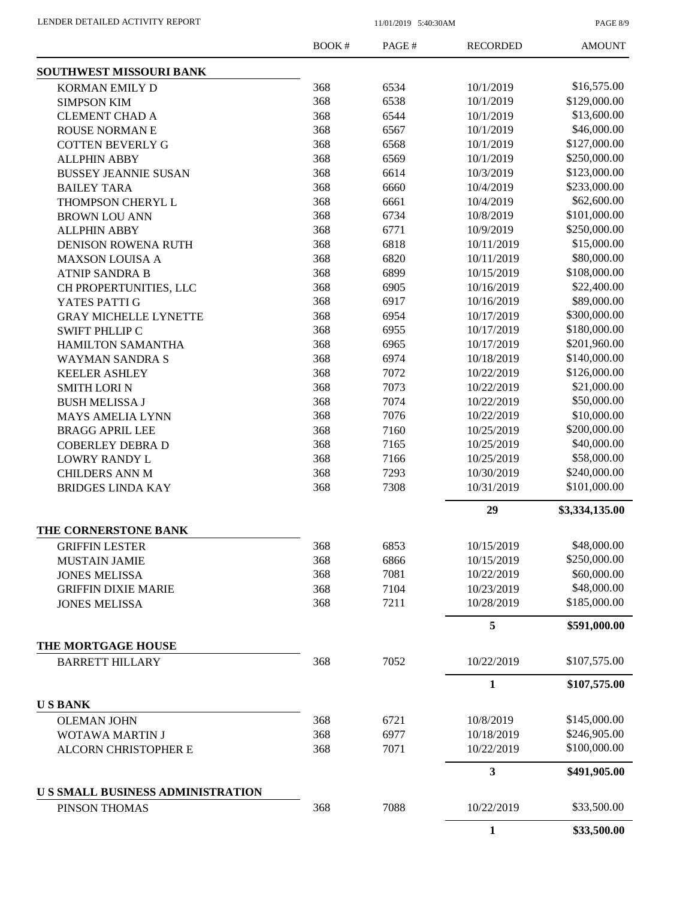PAGE 8/9

|                                         | <b>BOOK#</b> | PAGE# | <b>RECORDED</b> | <b>AMOUNT</b>  |
|-----------------------------------------|--------------|-------|-----------------|----------------|
| SOUTHWEST MISSOURI BANK                 |              |       |                 |                |
| KORMAN EMILY D                          | 368          | 6534  | 10/1/2019       | \$16,575.00    |
| <b>SIMPSON KIM</b>                      | 368          | 6538  | 10/1/2019       | \$129,000.00   |
| <b>CLEMENT CHAD A</b>                   | 368          | 6544  | 10/1/2019       | \$13,600.00    |
| <b>ROUSE NORMANE</b>                    | 368          | 6567  | 10/1/2019       | \$46,000.00    |
| <b>COTTEN BEVERLY G</b>                 | 368          | 6568  | 10/1/2019       | \$127,000.00   |
| <b>ALLPHIN ABBY</b>                     | 368          | 6569  | 10/1/2019       | \$250,000.00   |
| <b>BUSSEY JEANNIE SUSAN</b>             | 368          | 6614  | 10/3/2019       | \$123,000.00   |
| <b>BAILEY TARA</b>                      | 368          | 6660  | 10/4/2019       | \$233,000.00   |
| THOMPSON CHERYL L                       | 368          | 6661  | 10/4/2019       | \$62,600.00    |
| <b>BROWN LOU ANN</b>                    | 368          | 6734  | 10/8/2019       | \$101,000.00   |
| <b>ALLPHIN ABBY</b>                     | 368          | 6771  | 10/9/2019       | \$250,000.00   |
| <b>DENISON ROWENA RUTH</b>              | 368          | 6818  | 10/11/2019      | \$15,000.00    |
| <b>MAXSON LOUISA A</b>                  | 368          | 6820  | 10/11/2019      | \$80,000.00    |
| <b>ATNIP SANDRA B</b>                   | 368          | 6899  | 10/15/2019      | \$108,000.00   |
| CH PROPERTUNITIES, LLC                  | 368          | 6905  | 10/16/2019      | \$22,400.00    |
| YATES PATTI G                           | 368          | 6917  | 10/16/2019      | \$89,000.00    |
| <b>GRAY MICHELLE LYNETTE</b>            | 368          | 6954  | 10/17/2019      | \$300,000.00   |
| <b>SWIFT PHLLIP C</b>                   | 368          | 6955  | 10/17/2019      | \$180,000.00   |
| <b>HAMILTON SAMANTHA</b>                | 368          | 6965  | 10/17/2019      | \$201,960.00   |
| <b>WAYMAN SANDRA S</b>                  | 368          | 6974  | 10/18/2019      | \$140,000.00   |
| <b>KEELER ASHLEY</b>                    | 368          | 7072  | 10/22/2019      | \$126,000.00   |
| <b>SMITH LORIN</b>                      | 368          | 7073  | 10/22/2019      | \$21,000.00    |
| <b>BUSH MELISSA J</b>                   | 368          | 7074  | 10/22/2019      | \$50,000.00    |
| <b>MAYS AMELIA LYNN</b>                 | 368          | 7076  | 10/22/2019      | \$10,000.00    |
| <b>BRAGG APRIL LEE</b>                  | 368          | 7160  | 10/25/2019      | \$200,000.00   |
| <b>COBERLEY DEBRA D</b>                 | 368          | 7165  | 10/25/2019      | \$40,000.00    |
| <b>LOWRY RANDY L</b>                    | 368          | 7166  | 10/25/2019      | \$58,000.00    |
| <b>CHILDERS ANN M</b>                   | 368          | 7293  | 10/30/2019      | \$240,000.00   |
| <b>BRIDGES LINDA KAY</b>                | 368          | 7308  | 10/31/2019      | \$101,000.00   |
|                                         |              |       | 29              | \$3,334,135.00 |
| THE CORNERSTONE BANK                    |              |       |                 |                |
| <b>GRIFFIN LESTER</b>                   | 368          | 6853  | 10/15/2019      | \$48,000.00    |
| <b>MUSTAIN JAMIE</b>                    | 368          | 6866  | 10/15/2019      | \$250,000.00   |
| <b>JONES MELISSA</b>                    | 368          | 7081  | 10/22/2019      | \$60,000.00    |
| <b>GRIFFIN DIXIE MARIE</b>              | 368          | 7104  | 10/23/2019      | \$48,000.00    |
| <b>JONES MELISSA</b>                    | 368          | 7211  | 10/28/2019      | \$185,000.00   |
|                                         |              |       | 5               | \$591,000.00   |
| THE MORTGAGE HOUSE                      |              |       |                 |                |
| <b>BARRETT HILLARY</b>                  | 368          | 7052  | 10/22/2019      | \$107,575.00   |
|                                         |              |       | $\mathbf{1}$    | \$107,575.00   |
| <b>USBANK</b>                           |              |       |                 |                |
| <b>OLEMAN JOHN</b>                      | 368          | 6721  | 10/8/2019       | \$145,000.00   |
| WOTAWA MARTIN J                         | 368          | 6977  | 10/18/2019      | \$246,905.00   |
| <b>ALCORN CHRISTOPHER E</b>             | 368          | 7071  | 10/22/2019      | \$100,000.00   |
|                                         |              |       | 3               | \$491,905.00   |
| <b>US SMALL BUSINESS ADMINISTRATION</b> |              |       |                 |                |
| PINSON THOMAS                           | 368          | 7088  | 10/22/2019      | \$33,500.00    |
|                                         |              |       | $\mathbf{1}$    | \$33,500.00    |